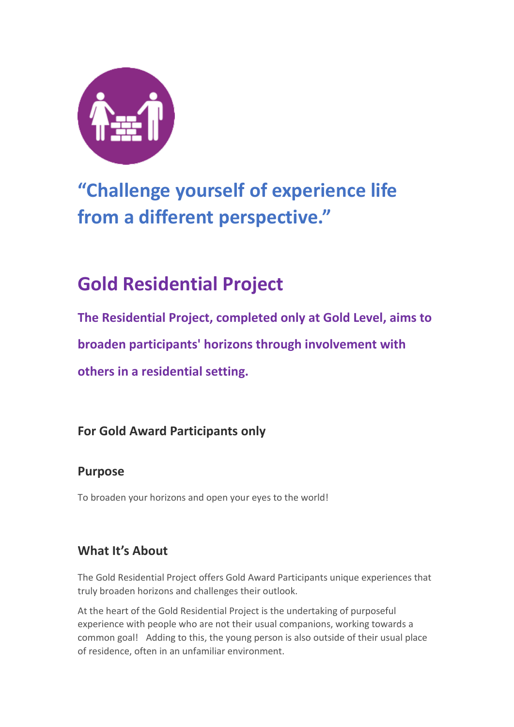

# **"Challenge yourself of experience life from a different perspective."**

# **Gold Residential Project**

**The Residential Project, completed only at Gold Level, aims to broaden participants' horizons through involvement with others in a residential setting.**

## **For Gold Award Participants only**

## **Purpose**

To broaden your horizons and open your eyes to the world!

# **What It's About**

The Gold Residential Project offers Gold Award Participants unique experiences that truly broaden horizons and challenges their outlook.

At the heart of the Gold Residential Project is the undertaking of purposeful experience with people who are not their usual companions, working towards a common goal! Adding to this, the young person is also outside of their usual place of residence, often in an unfamiliar environment.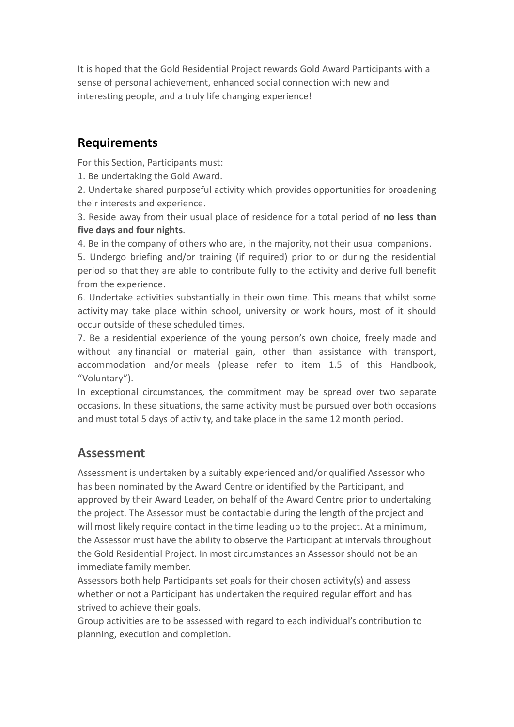It is hoped that the Gold Residential Project rewards Gold Award Participants with a sense of personal achievement, enhanced social connection with new and interesting people, and a truly life changing experience!

## **Requirements**

For this Section, Participants must:

1. Be undertaking the Gold Award.

2. Undertake shared purposeful activity which provides opportunities for broadening their interests and experience.

3. Reside away from their usual place of residence for a total period of **no less than five days and four nights**.

4. Be in the company of others who are, in the majority, not their usual companions.

5. Undergo briefing and/or training (if required) prior to or during the residential period so that they are able to contribute fully to the activity and derive full benefit from the experience.

6. Undertake activities substantially in their own time. This means that whilst some activity may take place within school, university or work hours, most of it should occur outside of these scheduled times.

7. Be a residential experience of the young person's own choice, freely made and without any financial or material gain, other than assistance with transport, accommodation and/or meals (please refer to item 1.5 of this Handbook, "Voluntary").

In exceptional circumstances, the commitment may be spread over two separate occasions. In these situations, the same activity must be pursued over both occasions and must total 5 days of activity, and take place in the same 12 month period.

## **Assessment**

Assessment is undertaken by a suitably experienced and/or qualified Assessor who has been nominated by the Award Centre or identified by the Participant, and approved by their Award Leader, on behalf of the Award Centre prior to undertaking the project. The Assessor must be contactable during the length of the project and will most likely require contact in the time leading up to the project. At a minimum, the Assessor must have the ability to observe the Participant at intervals throughout the Gold Residential Project. In most circumstances an Assessor should not be an immediate family member.

Assessors both help Participants set goals for their chosen activity(s) and assess whether or not a Participant has undertaken the required regular effort and has strived to achieve their goals.

Group activities are to be assessed with regard to each individual's contribution to planning, execution and completion.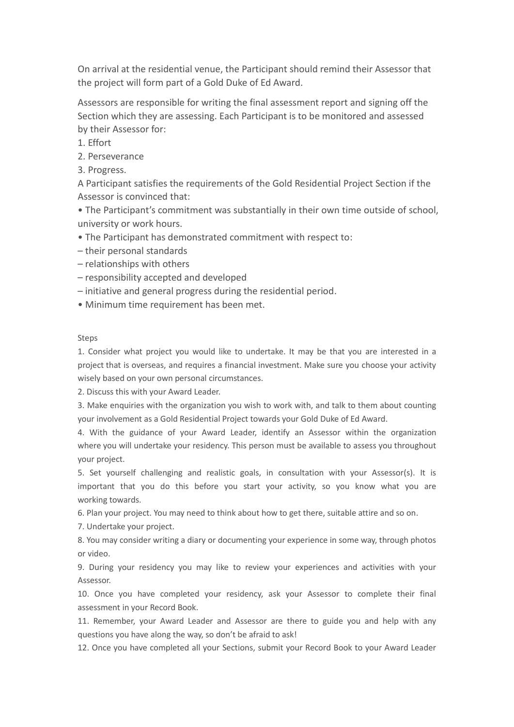On arrival at the residential venue, the Participant should remind their Assessor that the project will form part of a Gold Duke of Ed Award.

Assessors are responsible for writing the final assessment report and signing off the Section which they are assessing. Each Participant is to be monitored and assessed by their Assessor for:

- 1. Effort
- 2. Perseverance
- 3. Progress.

A Participant satisfies the requirements of the Gold Residential Project Section if the Assessor is convinced that:

• The Participant's commitment was substantially in their own time outside of school, university or work hours.

- The Participant has demonstrated commitment with respect to:
- their personal standards
- relationships with others
- responsibility accepted and developed
- initiative and general progress during the residential period.
- Minimum time requirement has been met.

### Steps

1. Consider what project you would like to undertake. It may be that you are interested in a project that is overseas, and requires a financial investment. Make sure you choose your activity wisely based on your own personal circumstances.

2. Discuss this with your Award Leader.

3. Make enquiries with the organization you wish to work with, and talk to them about counting your involvement as a Gold Residential Project towards your Gold Duke of Ed Award.

4. With the guidance of your Award Leader, identify an Assessor within the organization where you will undertake your residency. This person must be available to assess you throughout your project.

5. Set yourself challenging and realistic goals, in consultation with your Assessor(s). It is important that you do this before you start your activity, so you know what you are working towards.

6. Plan your project. You may need to think about how to get there, suitable attire and so on.

7. Undertake your project.

8. You may consider writing a diary or documenting your experience in some way, through photos or video.

9. During your residency you may like to review your experiences and activities with your Assessor.

10. Once you have completed your residency, ask your Assessor to complete their final assessment in your Record Book.

11. Remember, your Award Leader and Assessor are there to guide you and help with any questions you have along the way, so don't be afraid to ask!

12. Once you have completed all your Sections, submit your Record Book to your Award Leader